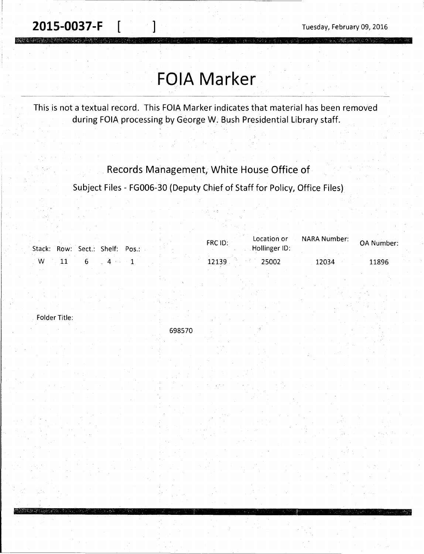**2015-0037-F**  $\begin{bmatrix} 1 & 1 & 1 \end{bmatrix}$  Tuesday, February 09, 2016

## **FOIA Marker**

This is not a textual record. This FOIA Marker indicates that material has been removed during FOIA processing by George W. Bush Presidential Library staff.

Records Management, White House Office of

Subject Files - FG006-30 (Deputy Chief of Staff for Policy, Office Files)

|   |  | Stack: Row: Sect.: Shelf: Pos.: |  | Location or<br>FRC ID:<br>Hollinger ID: | NARA Number: | OA Number: |
|---|--|---------------------------------|--|-----------------------------------------|--------------|------------|
| W |  |                                 |  | 25002                                   | 12034        | 11896      |

Folder Title:

698570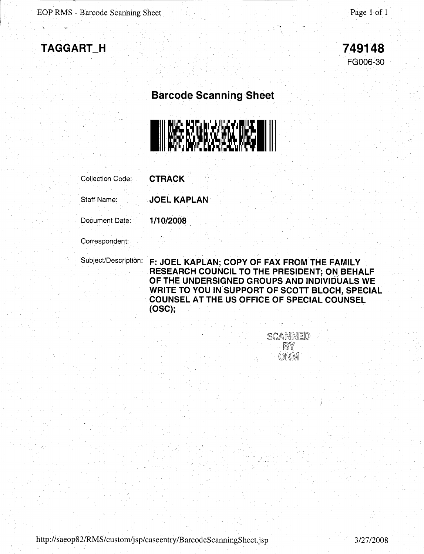



## **Barcode Scanning Sheet**



Collection Code: **CTRACK** 

Staff Name: **JOEL KAPLAN** 

Document Date: **1/10/2008** 

Correspondent:

Subject/Description: **F: JOEL KAPLAN; COPY OF FAX FROM THE FAMILY RESEARCH COUNCIL TO THE PRESIDENT; ON BEHALF OF THE UNDERSIGNED GROUPS AND INDIVIDUALS WE WRITE TO YOU IN SUPPORT OF SCOTT BLOCH, SPECIAL COUNSEL AT THE US OFFICE OF SPECIAL COUNSEL (OSC);** 

> **SCANNED**  $\mathbb{B}^{\vee}$  $ORM$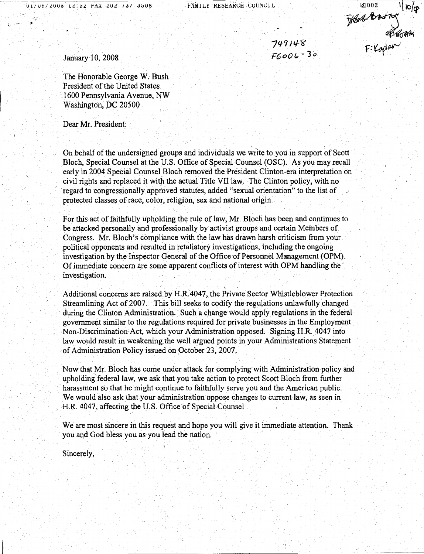FAMILY RESEARCH COUNCIL

749148 *Fr;oo'4.-3°* 

2002 1/10/08

January 10, 2008

The Honorable George W. Bush President of the United States 1600 Pennsylvania A venue, NW Washington, DC 20500

Dear Mr. President:

On behalf of the undersigned groups and individuals we write to you in support of Scott Bloch, Special Counsel at the U.S. Office of Special Counsel (OSC). As you may recall early in 2004 Special Counsel Bloch removed the President Clinton-era interpretation on civil rights and replaced it with the actual Title VII law. The Clinton policy, with no regard to congressionally approved statutes, added "sexual orientation" to the list of protected classes of race, color, religion, sex and national origin.

For this act of faithfully upholding the rule of law, Mr. Bloch has been and continues to be attacked personally and professionally by activist groups and certain Members of Congress. Mr. Bloch's compliance with the law has drawn harsh criticism from your political opponents and resulted in retaliatory investigations, including the ongoing investigation by the Inspector General of the Office of Personnel Management (OPM). Of immediate concern are some apparent conflicts of interest with OPM handling the investigation.

Additional concerns are raised by H.R.4047, the Private Sector Whistleblower Protection Streamlining Act of 2007. This bill seeks to codify the regulations unlawfully changed during the Clinton Administration. Such a change would apply regulations in the federal government similar to the regulations required for private businesses in the Employment Non-Discrimination Act, which your Administration opposed. Signing H.R. 4047 into law would result in weakening the well argued points in your Administrations Statement of Administration Policy issued on October 23, 2007.

Now that Mr. Bloch has come under attack for complying with Administration policy and upholding' federal law, we ask that you take action to protect Scott Bloch from further harassment so that he might continue to faithfully serve you and the American public. We would also ask that your administration oppose changes to current law, as seen in H.R. 4047, affecting the U.S. Office of Special Counsel

We are most sincere in this request and hope you will give it immediate attention. Thank you and God bless you as you lead the nation. ·

Sincerely,